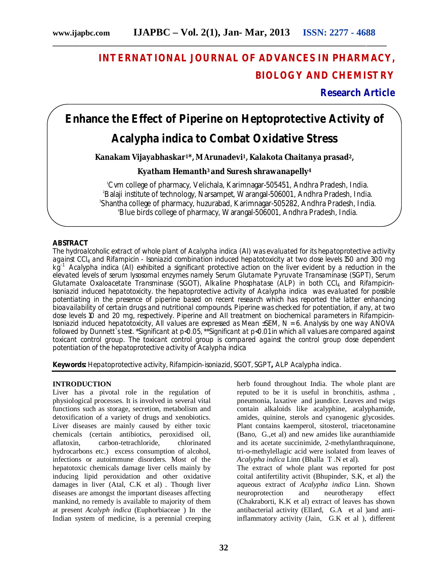## **INTERNATIONAL JOURNAL OF ADVANCES IN PHARMACY, BIOLOGY AND CHEMISTRY**

**Research Article**

# **Enhance the Effect of Piperine on Heptoprotective Activity of**

### *Acalypha indica* **to Combat Oxidative Stress**

**Kanakam Vijayabhaskar1\*, M Arunadevi1, Kalakota Chaitanya prasad2,** 

#### **Kyatham Hemanth3 and Suresh shrawanapelly<sup>4</sup>**

Cvm college of pharmacy, Velichala, Karimnagar-505451, Andhra Pradesh, India. Balaji institute of technology, Narsampet, Warangal-506001, Andhra Pradesh, India. Shantha college of pharmacy, huzurabad, Karimnagar-505282, Andhra Pradesh, India. Blue birds college of pharmacy, Warangal-506001, Andhra Pradesh, India.

#### **ABSTRACT**

The hydroalcoholic extract of whole plant of *Acalypha indica* (AI) was evaluated for its hepatoprotective activity against CCl<sup>4</sup> and Rifampicin - Isoniazid combination induced hepatotoxicity at two dose levels 150 and 300 mg kg-1 *Acalypha indica* (AI) exhibited a significant protective action on the liver evident by a reduction in the elevated levels of serum lysosomal enzymes namely Serum Glutamate Pyruvate Transaminase (SGPT), Serum Glutamate Oxaloacetate Transminase (SGOT), Alkaline Phosphatase (ALP) in both CCl<sub>4</sub> and Rifampicin-Isoniazid induced hepatotoxicity. the hepatoprotective activity of *Acalypha indica* was evaluated for possible potentiating in the presence of piperine based on recent research which has reported the latter enhancing bioavailability of certain drugs and nutritional compounds. Piperine was checked for potentiation, if any, at two dose levels 10 and 20 mg, respectively. Piperine and AIl treatment on biochemical parameters in Rifampicin-Isoniazid induced hepatotoxicity, All values are expressed as Mean ±SEM, N = 6. Analysis by one way ANOVA followed by Dunnett`s test. \*Significant at p<0.05, \*\*Significant at p<0.01 in which all values are compared against toxicant control group. The toxicant control group is compared against the control group dose dependent potentiation of the hepatoprotective activity of *Acalypha indica*

**Keywords:** Hepatoprotective activity, Rifampicin-isoniazid, SGOT, SGPT**,** ALP Acalypha indica.

#### **INTRODUCTION**

Liver has a pivotal role in the regulation of physiological processes. It is involved in several vital functions such as storage, secretion, metabolism and detoxification of a variety of drugs and xenobiotics. Liver diseases are mainly caused by either toxic chemicals (certain antibiotics, peroxidised oil, aflatoxin, carbon-tetrachloride, hydrocarbons etc.) excess consumption of alcohol, infections or autoimmune disorders. Most of the hepatotoxic chemicals damage liver cells mainly by inducing lipid peroxidation and other oxidative damages in liver (Atal, C.K et al) . Though liver diseases are amongst the important diseases affecting mankind, no remedy is available to majority of them at present *Acalyph indica* (Euphorbiaceae ) In the Indian system of medicine, is a perennial creeping

herb found throughout India. The whole plant are reputed to be it is useful in bronchitis, asthma , pneumonia, laxative and jaundice. Leaves and twigs contain alkaloids like acalyphine, acalyphamide, amides, quinine, sterols and cyanogenic glycosides. Plant contains kaemperol, sitosterol, triacetonamine (Bano, G.,et al) and new amides like auranthiamide and its acetate succinimide, 2-methylanthraquinone, tri-o-methylellagic acid were isolated from leaves of *Acalypha indica* Linn (Bhalla T .N et al).

The extract of whole plant was reported for post coital antifertility activit (Bhupinder, S.K, et al) the aqueous extract of *Acalypha indica* Linn. Shown neuroprotection and neurotherapy effect (Chakraborti, K.K et al) extract of leaves has shown antibacterial activity (Ellard, G.A et al )and antiinflammatory activity (Jain, G.K et al ), different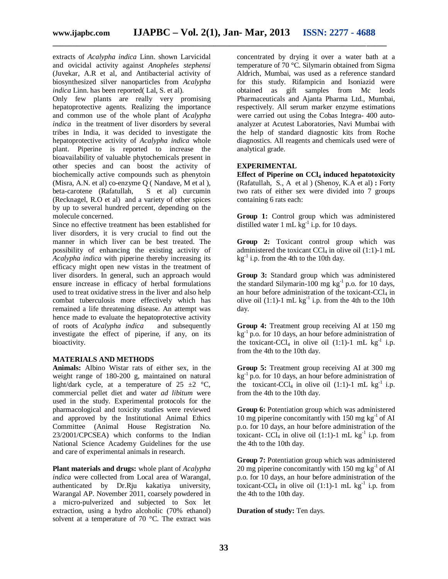extracts of *Acalypha indica* Linn. shown Larvicidal and ovicidal activity against *Anopheles stephensi* (Juvekar, A.R et al, and Antibacterial activity of biosynthesized silver nanoparticles from *Acalypha indica* Linn. has been reported(Lal, S. et al).

Only few plants are really very promising hepatoprotective agents. Realizing the importance and common use of the whole plant of *Acalypha indica* in the treatment of liver disorders by several tribes in India, it was decided to investigate the hepatoprotective activity of *Acalypha indica* whole plant. Piperine is reported to increase the bioavailability of valuable phytochemicals present in other species and can boost the activity of biochemically active compounds such as phenytoin (Misra, A.N. et al) co-enzyme Q ( Nandave, M et al ), beta-carotene (Rafatullah, S et al) curcumin (Recknagel, R.O et al) and a variety of other spices by up to several hundred percent, depending on the molecule concerned.

Since no effective treatment has been established for liver disorders, it is very crucial to find out the manner in which liver can be best treated. The possibility of enhancing the existing activity of *Acalypha indica* with piperine thereby increasing its efficacy might open new vistas in the treatment of liver disorders. In general, such an approach would ensure increase in efficacy of herbal formulations used to treat oxidative stress in the liver and also help combat tuberculosis more effectively which has remained a life threatening disease. An attempt was hence made to evaluate the hepatoprotective activity<br>of roots of *Acalypha indica* and subsequently of roots of *Acalypha indica* investigate the effect of piperine, if any, on its bioactivity.

#### **MATERIALS AND METHODS**

**Animals:** Albino Wistar rats of either sex, in the weight range of 180-200 g, maintained on natural light/dark cycle, at a temperature of  $25 \pm 2 \degree$ C, commercial pellet diet and water *ad libitum* were used in the study. Experimental protocols for the pharmacological and toxicity studies were reviewed and approved by the Institutional Animal Ethics Committee (Animal House Registration No. 23/2001/CPCSEA) which conforms to the Indian National Science Academy Guidelines for the use and care of experimental animals in research.

**Plant materials and drugs:** whole plant of *Acalypha indica* were collected from Local area of Warangal, authenticated by Dr.Rju kakatiya university, Warangal AP. November 2011, coarsely powdered in a micro-pulverized and subjected to Sox let extraction, using a hydro alcoholic (70% ethanol) solvent at a temperature of 70 °C. The extract was concentrated by drying it over a water bath at a temperature of 70 °C. Silymarin obtained from Sigma Aldrich, Mumbai, was used as a reference standard for this study. Rifampicin and Isoniazid were obtained as gift samples from Mc leods Pharmaceuticals and Ajanta Pharma Ltd., Mumbai, respectively. All serum marker enzyme estimations were carried out using the Cobas Integra- 400 autoanalyzer at Acutest Laboratories, Navi Mumbai with the help of standard diagnostic kits from Roche diagnostics. All reagents and chemicals used were of analytical grade.

#### **EXPERIMENTAL**

**Effect of Piperine on CCl<sup>4</sup> induced hepatotoxicity** (Rafatullah, S., A et al ) (Shenoy, K.A et al) **:** Forty two rats of either sex were divided into 7 groups containing 6 rats each:

**Group 1:** Control group which was administered distilled water 1 mL  $kg^{-1}$  i.p. for 10 days.

**Group 2:** Toxicant control group which was administered the toxicant  $CCl_4$  in olive oil (1:1)-1 mL  $kg^{-1}$  i.p. from the 4th to the 10th day.

**Group 3:** Standard group which was administered the standard Silymarin-100 mg  $kg^{-1}$  p.o. for 10 days, an hour before administration of the toxicant-CCl<sub>4</sub> in olive oil (1:1)-1 mL  $kg^{-1}$  i.p. from the 4th to the 10th day.

**Group 4:** Treatment group receiving AI at 150 mg  $kg^{-1}$  p.o. for 10 days, an hour before administration of the toxicant-CCl<sub>4</sub> in olive oil (1:1)-1 mL kg<sup>-1</sup> i.p. from the 4th to the 10th day.

**Group 5:** Treatment group receiving AI at 300 mg  $kg^{-1}$  p.o. for 10 days, an hour before administration of the toxicant-CCl<sub>4</sub> in olive oil (1:1)-1 mL  $kg^{-1}$  i.p. from the 4th to the 10th day.

**Group 6:** Potentiation group which was administered 10 mg piperine concomitantly with 150 mg  $kg<sup>-1</sup>$  of AI p.o. for 10 days, an hour before administration of the toxicant- CCl<sub>4</sub> in olive oil (1:1)-1 mL  $kg^{-1}$  i.p. from the 4th to the 10th day.

**Group 7:** Potentiation group which was administered 20 mg piperine concomitantly with 150 mg  $kg^{-1}$  of AI p.o. for 10 days, an hour before administration of the toxicant-CCl<sub>4</sub> in olive oil  $(1:1)$ -1 mL kg<sup>-1</sup> i.p. from the 4th to the 10th day.

**Duration of study:** Ten days.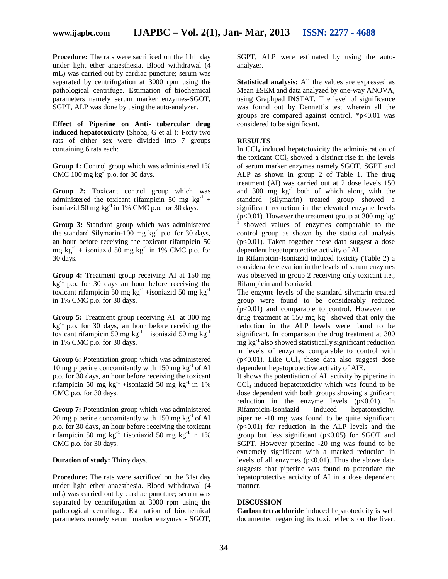**Procedure:** The rats were sacrificed on the 11th day under light ether anaesthesia. Blood withdrawal (4 mL) was carried out by cardiac puncture; serum was separated by centrifugation at 3000 rpm using the pathological centrifuge. Estimation of biochemical parameters namely serum marker enzymes-SGOT, SGPT, ALP was done by using the auto-analyzer.

**Effect of Piperine on Anti- tubercular drug induced hepatotoxicity (**Shoba, G et al )**:** Forty two rats of either sex were divided into 7 groups containing 6 rats each:

**Group 1:** Control group which was administered 1% CMC 100 mg  $kg^{-1}$  p.o. for 30 days.

**Group 2:** Toxicant control group which was administered the toxicant rifampicin 50 mg  $kg^{-1}$  + isoniazid 50 mg  $kg^{-1}$  in 1% CMC p.o. for 30 days.

**Group 3:** Standard group which was administered the standard Silymarin-100 mg  $kg^{-1}$  p.o. for 30 days, an hour before receiving the toxicant rifampicin 50 mg  $kg^{-1}$  + isoniazid 50 mg  $kg^{-1}$  in 1% CMC p.o. for 30 days.

**Group 4:** Treatment group receiving AI at 150 mg  $kg<sup>-1</sup>$  p.o. for 30 days an hour before receiving the toxicant rifampicin 50 mg kg<sup>-1</sup> +isoniazid 50 mg kg<sup>-1</sup> in 1% CMC p.o. for 30 days.

**Group 5:** Treatment group receiving AI at 300 mg  $kg<sup>-1</sup>$  p.o. for 30 days, an hour before receiving the toxicant rifampicin 50 mg kg<sup>-1</sup> + isoniazid 50 mg kg<sup>-1</sup> in 1% CMC p.o. for 30 days.

Group 6: Potentiation group which was administered 10 mg piperine concomitantly with 150 mg  $kg^{-1}$  of AI p.o. for 30 days, an hour before receiving the toxicant rifampicin 50 mg kg<sup>-1</sup> +isoniazid 50 mg kg<sup>-1</sup> in 1% CMC p.o. for 30 days.

**Group 7:** Potentiation group which was administered 20 mg piperine concomitantly with 150 mg  $kg^{-1}$  of AI p.o. for 30 days, an hour before receiving the toxicant rifampicin 50 mg kg<sup>-1</sup> +isoniazid 50 mg kg<sup>-1</sup> in 1% CMC p.o. for 30 days.

**Duration of study:** Thirty days.

**Procedure:** The rats were sacrificed on the 31st day under light ether anaesthesia. Blood withdrawal (4 mL) was carried out by cardiac puncture; serum was separated by centrifugation at 3000 rpm using the pathological centrifuge. Estimation of biochemical parameters namely serum marker enzymes - SGOT, SGPT, ALP were estimated by using the autoanalyzer.

**Statistical analysis:** All the values are expressed as Mean ±SEM and data analyzed by one-way ANOVA, using Graphpad INSTAT. The level of significance was found out by Dennett's test wherein all the groups are compared against control.  $\frac{*p}{0.01}$  was considered to be significant.

#### **RESULTS**

In CCl<sub>4</sub> induced hepatotoxicity the administration of the toxicant CCl<sub>4</sub> showed a distinct rise in the levels of serum marker enzymes namely SGOT, SGPT and ALP as shown in group 2 of Table 1. The drug treatment (AI) was carried out at 2 dose levels 150 and 300 mg  $kg^{-1}$  both of which along with the standard (silymarin) treated group showed a significant reduction in the elevated enzyme levels ( $p<0.01$ ). However the treatment group at 300 mg kg<sup>-</sup> showed values of enzymes comparable to the control group as shown by the statistical analysis (p<0.01). Taken together these data suggest a dose dependent hepatoprotective activity of AI.

In Rifampicin-Isoniazid induced toxicity (Table 2) a considerable elevation in the levels of serum enzymes was observed in group 2 receiving only toxicant i.e., Rifampicin and Isoniazid.

The enzyme levels of the standard silymarin treated group were found to be considerably reduced  $(p<0.01)$  and comparable to control. However the drug treatment at 150 mg kg<sup>-1</sup> showed that only the reduction in the ALP levels were found to be significant. In comparison the drug treatment at 300 mg  $kg^{-1}$  also showed statistically significant reduction in levels of enzymes comparable to control with  $(p<0.01)$ . Like CCl<sub>4</sub> these data also suggest dose dependent hepatoprotective activity of AIE.

It shows the potentiation of AI activity by piperine in  $CCl<sub>4</sub>$  induced hepatotoxicity which was found to be dose dependent with both groups showing significant reduction in the enzyme levels  $(p<0.01)$ . In Rifampicin-Isoniazid induced hepatotoxicity. piperine -10 mg was found to be quite significant  $(p<0.01)$  for reduction in the ALP levels and the group but less significant  $(p<0.05)$  for SGOT and SGPT. However piperine -20 mg was found to be extremely significant with a marked reduction in levels of all enzymes  $(p<0.01)$ . Thus the above data suggests that piperine was found to potentiate the hepatoprotective activity of AI in a dose dependent manner.

#### **DISCUSSION**

**Carbon tetrachloride** induced hepatotoxicity is well documented regarding its toxic effects on the liver.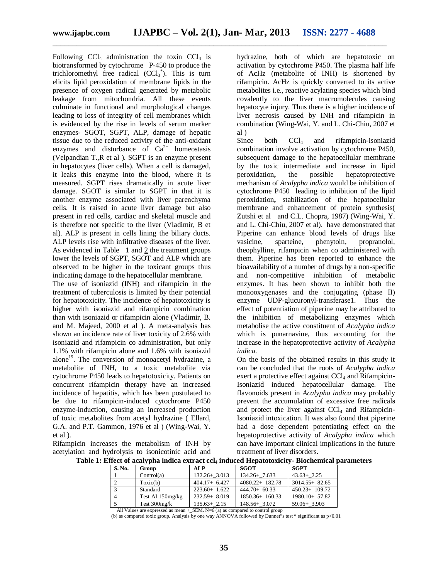Following  $CCl_4$  administration the toxin  $CCl_4$  is biotransformed by cytochrome P-450 to produce the trichloromethyl free radical  $(CCl_3^*)$ . This is turn elicits lipid peroxidation of membrane lipids in the presence of oxygen radical generated by metabolic leakage from mitochondria. All these events culminate in functional and morphological changes leading to loss of integrity of cell membranes which is evidenced by the rise in levels of serum marker enzymes- SGOT, SGPT, ALP, damage of hepatic tissue due to the reduced activity of the anti-oxidant enzymes and disturbance of  $Ca^{2+}$  homeostasis (Velpandian T.,R et al ). SGPT is an enzyme present in hepatocytes (liver cells). When a cell is damaged, it leaks this enzyme into the blood, where it is measured. SGPT rises dramatically in acute liver damage. SGOT is similar to SGPT in that it is another enzyme associated with liver parenchyma cells. It is raised in acute liver damage but also present in red cells, cardiac and skeletal muscle and is therefore not specific to the liver (Vladimir, B et al). ALP is present in cells lining the biliary ducts. ALP levels rise with infiltrative diseases of the liver. As evidenced in Table 1 and 2 the treatment groups lower the levels of SGPT, SGOT and ALP which are observed to be higher in the toxicant groups thus indicating damage to the hepatocellular membrane.

The use of isoniazid (INH) and rifampicin in the treatment of tuberculosis is limited by their potential for hepatotoxicity. The incidence of hepatotoxicity is higher with isoniazid and rifampicin combination than with isoniazid or rifampicin alone (Vladimir, B. and M. Majeed, 2000 et al ). A meta-analysis has shown an incidence rate of liver toxicity of 2.6% with isoniazid and rifampicin co administration, but only 1.1% with rifampicin alone and 1.6% with isoniazid alone<sup>19</sup>. The conversion of monoacetyl hydrazine, a metabolite of INH, to a toxic metabolite via cytochrome P450 leads to hepatotoxicity. Patients on concurrent rifampicin therapy have an increased incidence of hepatitis, which has been postulated to be due to rifampicin-induced cytochrome P450 enzyme-induction, causing an increased production of toxic metabolites from acetyl hydrazine ( Ellard, G.A. and P.T. Gammon, 1976 et al ) (Wing-Wai, Y. et al ).

Rifampicin increases the metabolism of INH by acetylation and hydrolysis to isonicotinic acid and

hydrazine, both of which are hepatotoxic on activation by cytochrome P450. The plasma half life of AcHz (metabolite of INH) is shortened by rifampicin. AcHz is quickly converted to its active metabolites i.e., reactive acylating species which bind covalently to the liver macromolecules causing hepatocyte injury. Thus there is a higher incidence of liver necrosis caused by INH and rifampicin in combination (Wing-Wai, Y. and L. Chi-Chiu, 2007 et al )

Since both  $CCl_4$  and rifampicin-isoniazid combination involve activation by cytochrome P450, subsequent damage to the hepatocellular membrane by the toxic intermediate and increase in lipid peroxidation**,** the possible hepatoprotective mechanism of *Acalypha indica* would be inhibition of cytochrome P450 leading to inhibition of the lipid peroxidation**,** stabilization of the hepatocellular membrane and enhancement of protein synthesis( Zutshi et al and C.L. Chopra, 1987) (Wing-Wai, Y. and L. Chi-Chiu, 2007 et al). have demonstrated that Piperine can enhance blood levels of drugs like vasicine, sparteine, phenytoin, propranolol, theophylline, rifampicin when co administered with them. Piperine has been reported to enhance the bioavailability of a number of drugs by a non-specific and non-competitive inhibition of metabolic enzymes. It has been shown to inhibit both the monooxygenases and the conjugating (phase II) enzyme UDP-glucuronyl-transferase1. Thus the effect of potentiation of piperine may be attributed to the inhibition of metabolizing enzymes which metabolise the active constituent of *Acalypha indica* which is punarnavine, thus accounting for the increase in the hepatoprotective activity of *Acalypha indica.*

On the basis of the obtained results in this study it can be concluded that the roots of *Acalypha indica* exert a protective effect against  $CCl<sub>4</sub>$  and Rifampicin-Isoniazid induced hepatocellular damage. The flavonoids present in *Acalypha indica* may probably prevent the accumulation of excessive free radical**s**  and protect the liver against  $CCl<sub>4</sub>$  and Rifampicin-Isoniazid intoxication. It was also found that piperine had a dose dependent potentiating effect on the hepatoprotective activity of *Acalypha indica* which can have important clinical implications in the future treatment of liver disorders.

| S. No. | Group            | <b>ALP</b>       | <b>SGOT</b>        | <b>SGPT</b>       |
|--------|------------------|------------------|--------------------|-------------------|
|        | Control(a)       | $132.26 + 3.013$ | $134.26 + 7.633$   | $43.63 + 2.25$    |
|        | Toxic(b)         | $404.17 + 6.427$ | $4080.22 + 182.78$ | $3014.55 + 82.65$ |
|        | Standard         | $223.60 + 1.622$ | $444.70 + 60.33$   | 450.23+ 109.72    |
|        | Test AI 150mg/kg | $232.59 + 8.019$ | $1850.36 + 160.33$ | $1980.10 + 57.82$ |
|        | Test $300$ mg/k  | $135.63 + 2.15$  | $148.56 + 3.072$   | $59.06 + 3.903$   |

**Table 1: Effect of acalypha indica extract ccl<sup>4</sup> induced Hepatotoxicity- Biochemical parameters**

All Values are expressed as mean +\_SEM. N=6 (a) as compared to control group

(b) as compared toxic group. Analysis by one way ANNOVA followed by Dunnet"s test \* significant as p<0.01